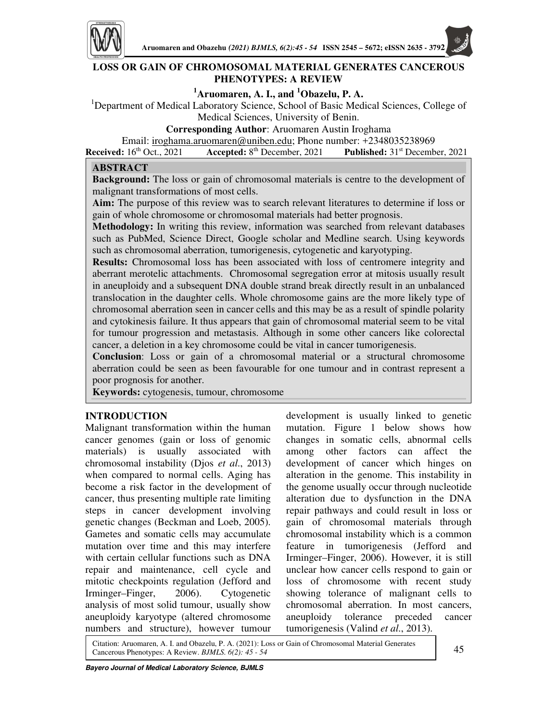

## **LOSS OR GAIN OF CHROMOSOMAL MATERIAL GENERATES CANCEROUS PHENOTYPES: A REVIEW**

# **<sup>1</sup>Aruomaren, A. I., and <sup>1</sup>Obazelu, P. A.**

<sup>1</sup>Department of Medical Laboratory Science, School of Basic Medical Sciences, College of Medical Sciences, University of Benin.

**Corresponding Author**: Aruomaren Austin Iroghama

Email: iroghama.aruomaren@uniben.edu; Phone number: +2348035238969

**Received:** 16<sup>th</sup> Oct., 2021 **Accepted:** 8<sup>th</sup> December, 2021 **Published:** 31<sup>st</sup> December, 2021

## **ABSTRACT**

**Background:** The loss or gain of chromosomal materials is centre to the development of malignant transformations of most cells.

**Aim:** The purpose of this review was to search relevant literatures to determine if loss or gain of whole chromosome or chromosomal materials had better prognosis.

**Methodology:** In writing this review, information was searched from relevant databases such as PubMed, Science Direct, Google scholar and Medline search. Using keywords such as chromosomal aberration, tumorigenesis, cytogenetic and karyotyping.

**Results:** Chromosomal loss has been associated with loss of centromere integrity and aberrant merotelic attachments. Chromosomal segregation error at mitosis usually result in aneuploidy and a subsequent DNA double strand break directly result in an unbalanced translocation in the daughter cells. Whole chromosome gains are the more likely type of chromosomal aberration seen in cancer cells and this may be as a result of spindle polarity and cytokinesis failure. It thus appears that gain of chromosomal material seem to be vital for tumour progression and metastasis. Although in some other cancers like colorectal cancer, a deletion in a key chromosome could be vital in cancer tumorigenesis.

**Conclusion**: Loss or gain of a chromosomal material or a structural chromosome aberration could be seen as been favourable for one tumour and in contrast represent a poor prognosis for another.

**Keywords:** cytogenesis, tumour, chromosome

## **INTRODUCTION**

I

Malignant transformation within the human cancer genomes (gain or loss of genomic materials) is usually associated with chromosomal instability (Djos *et al*., 2013) when compared to normal cells. Aging has become a risk factor in the development of cancer, thus presenting multiple rate limiting steps in cancer development involving genetic changes (Beckman and Loeb, 2005). Gametes and somatic cells may accumulate mutation over time and this may interfere with certain cellular functions such as DNA repair and maintenance, cell cycle and mitotic checkpoints regulation (Jefford and Irminger–Finger, 2006). Cytogenetic analysis of most solid tumour, usually show aneuploidy karyotype (altered chromosome numbers and structure), however tumour

development is usually linked to genetic mutation. Figure 1 below shows how changes in somatic cells, abnormal cells among other factors can affect the development of cancer which hinges on alteration in the genome. This instability in the genome usually occur through nucleotide alteration due to dysfunction in the DNA repair pathways and could result in loss or gain of chromosomal materials through chromosomal instability which is a common feature in tumorigenesis (Jefford and Irminger–Finger, 2006). However, it is still unclear how cancer cells respond to gain or loss of chromosome with recent study showing tolerance of malignant cells to chromosomal aberration. In most cancers, aneuploidy tolerance preceded cancer tumorigenesis (Valind *et al*., 2013).

Citation: Aruomaren, A. I. and Obazelu, P. A. (2021): Loss or Gain of Chromosomal Material Generates Cancerous Phenotypes: A Review. *BJMLS. 6(2): 45 - 54* 45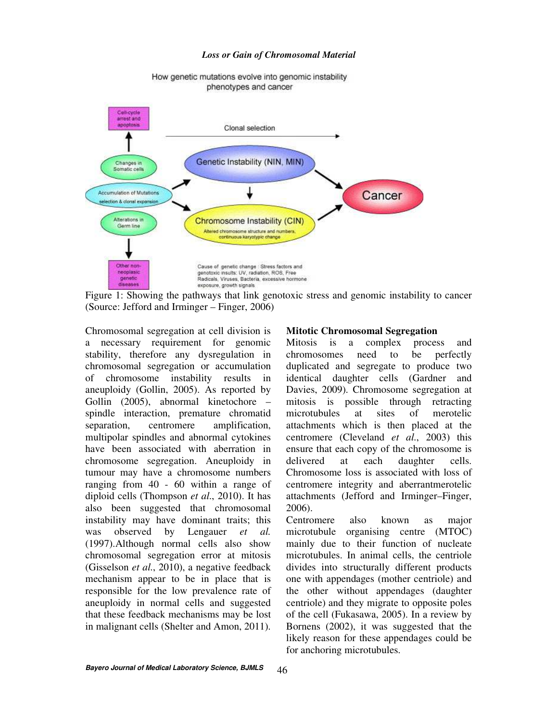#### *Loss or Gain of Chromosomal Material*



How genetic mutations evolve into genomic instability phenotypes and cancer

Figure 1: Showing the pathways that link genotoxic stress and genomic instability to cancer (Source: Jefford and Irminger – Finger, 2006)

Chromosomal segregation at cell division is a necessary requirement for genomic stability, therefore any dysregulation in chromosomal segregation or accumulation of chromosome instability results in aneuploidy (Gollin, 2005). As reported by Gollin (2005), abnormal kinetochore – spindle interaction, premature chromatid separation, centromere amplification, multipolar spindles and abnormal cytokines have been associated with aberration in chromosome segregation. Aneuploidy in tumour may have a chromosome numbers ranging from 40 - 60 within a range of diploid cells (Thompson *et al*., 2010). It has also been suggested that chromosomal instability may have dominant traits; this was observed by Lengauer *et al.* (1997).Although normal cells also show chromosomal segregation error at mitosis (Gisselson *et al*., 2010), a negative feedback mechanism appear to be in place that is responsible for the low prevalence rate of aneuploidy in normal cells and suggested that these feedback mechanisms may be lost in malignant cells (Shelter and Amon, 2011).

### **Mitotic Chromosomal Segregation**

Mitosis is a complex process and chromosomes need to be perfectly duplicated and segregate to produce two identical daughter cells (Gardner and Davies, 2009). Chromosome segregation at mitosis is possible through retracting microtubules at sites of merotelic attachments which is then placed at the centromere (Cleveland *et al*., 2003) this ensure that each copy of the chromosome is delivered at each daughter cells. Chromosome loss is associated with loss of centromere integrity and aberrantmerotelic attachments (Jefford and Irminger–Finger, 2006).

Centromere also known as major microtubule organising centre (MTOC) mainly due to their function of nucleate microtubules. In animal cells, the centriole divides into structurally different products one with appendages (mother centriole) and the other without appendages (daughter centriole) and they migrate to opposite poles of the cell (Fukasawa, 2005). In a review by Bornens (2002), it was suggested that the likely reason for these appendages could be for anchoring microtubules.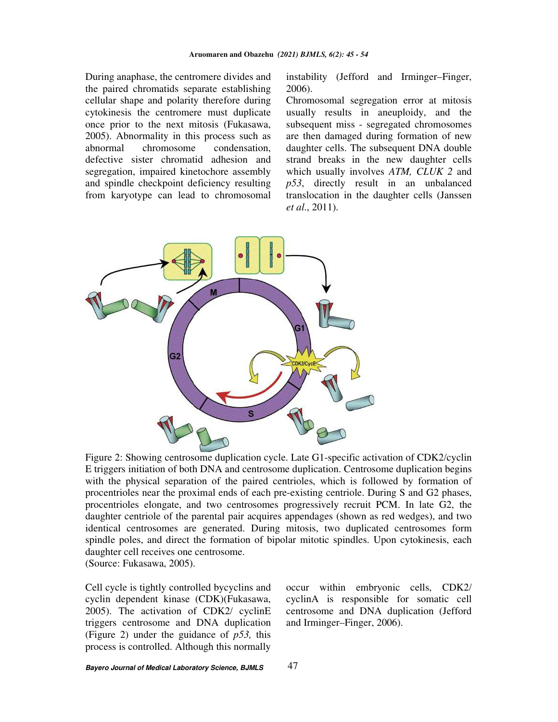During anaphase, the centromere divides and the paired chromatids separate establishing cellular shape and polarity therefore during cytokinesis the centromere must duplicate once prior to the next mitosis (Fukasawa, 2005). Abnormality in this process such as abnormal chromosome condensation, defective sister chromatid adhesion and segregation, impaired kinetochore assembly and spindle checkpoint deficiency resulting from karyotype can lead to chromosomal

instability (Jefford and Irminger–Finger, 2006).

Chromosomal segregation error at mitosis usually results in aneuploidy, and the subsequent miss - segregated chromosomes are then damaged during formation of new daughter cells. The subsequent DNA double strand breaks in the new daughter cells which usually involves *ATM, CLUK 2* and *p53*, directly result in an unbalanced translocation in the daughter cells (Janssen *et al*., 2011).



Figure 2: Showing centrosome duplication cycle. Late G1-specific activation of CDK2/cyclin E triggers initiation of both DNA and centrosome duplication. Centrosome duplication begins with the physical separation of the paired centrioles, which is followed by formation of procentrioles near the proximal ends of each pre-existing centriole. During S and G2 phases, procentrioles elongate, and two centrosomes progressively recruit PCM. In late G2, the daughter centriole of the parental pair acquires appendages (shown as red wedges), and two identical centrosomes are generated. During mitosis, two duplicated centrosomes form spindle poles, and direct the formation of bipolar mitotic spindles. Upon cytokinesis, each daughter cell receives one centrosome. (Source: Fukasawa, 2005).

Cell cycle is tightly controlled bycyclins and cyclin dependent kinase (CDK)(Fukasawa, 2005). The activation of CDK2/ cyclinE triggers centrosome and DNA duplication (Figure 2) under the guidance of *p53,* this process is controlled. Although this normally occur within embryonic cells, CDK2/ cyclinA is responsible for somatic cell centrosome and DNA duplication (Jefford and Irminger–Finger, 2006).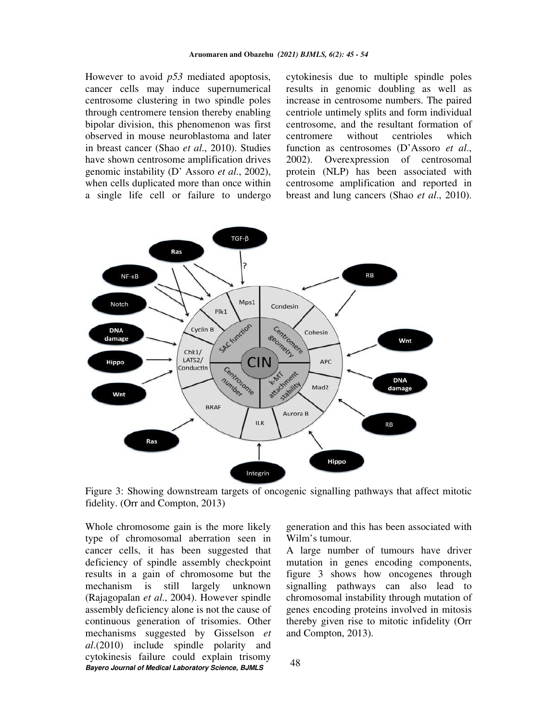However to avoid *p53* mediated apoptosis, cancer cells may induce supernumerical centrosome clustering in two spindle poles through centromere tension thereby enabling bipolar division, this phenomenon was first observed in mouse neuroblastoma and later in breast cancer (Shao *et al*., 2010). Studies have shown centrosome amplification drives genomic instability (D' Assoro *et al*., 2002), when cells duplicated more than once within a single life cell or failure to undergo cytokinesis due to multiple spindle poles results in genomic doubling as well as increase in centrosome numbers. The paired centriole untimely splits and form individual centrosome, and the resultant formation of centromere without centrioles which function as centrosomes (D'Assoro *et al*., 2002). Overexpression of centrosomal protein (NLP) has been associated with centrosome amplification and reported in breast and lung cancers (Shao *et al*., 2010).



Figure 3: Showing downstream targets of oncogenic signalling pathways that affect mitotic fidelity. (Orr and Compton, 2013)

**Bayero Journal of Medical Laboratory Science, BJMLS**  Whole chromosome gain is the more likely type of chromosomal aberration seen in cancer cells, it has been suggested that deficiency of spindle assembly checkpoint results in a gain of chromosome but the mechanism is still largely unknown (Rajagopalan *et al*., 2004). However spindle assembly deficiency alone is not the cause of continuous generation of trisomies. Other mechanisms suggested by Gisselson *et al*.(2010) include spindle polarity and cytokinesis failure could explain trisomy

generation and this has been associated with Wilm's tumour.

A large number of tumours have driver mutation in genes encoding components, figure 3 shows how oncogenes through signalling pathways can also lead to chromosomal instability through mutation of genes encoding proteins involved in mitosis thereby given rise to mitotic infidelity (Orr and Compton, 2013).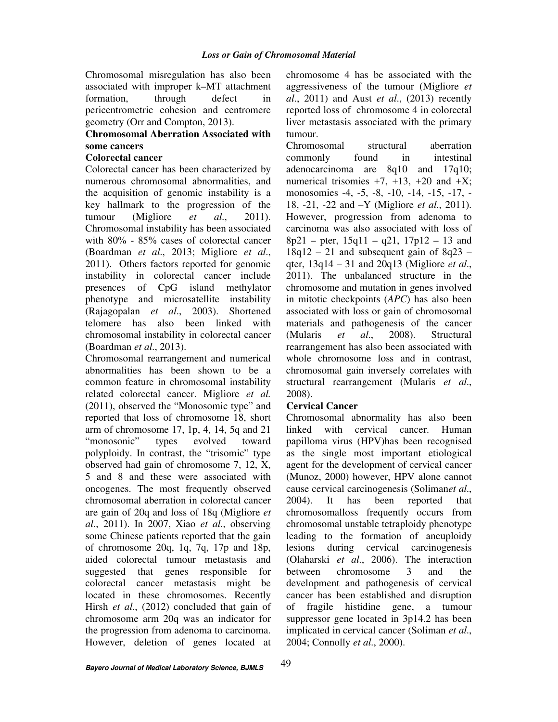Chromosomal misregulation has also been associated with improper k–MT attachment formation, through defect in pericentrometric cohesion and centromere geometry (Orr and Compton, 2013).

## **Chromosomal Aberration Associated with some cancers**

## **Colorectal cancer**

Colorectal cancer has been characterized by numerous chromosomal abnormalities, and the acquisition of genomic instability is a key hallmark to the progression of the tumour (Migliore *et al*., 2011). Chromosomal instability has been associated with 80% - 85% cases of colorectal cancer (Boardman *et al*., 2013; Migliore *et al*., 2011). Others factors reported for genomic instability in colorectal cancer include presences of CpG island methylator phenotype and microsatellite instability (Rajagopalan *et al*., 2003). Shortened telomere has also been linked with chromosomal instability in colorectal cancer (Boardman *et al*., 2013).

Chromosomal rearrangement and numerical abnormalities has been shown to be a common feature in chromosomal instability related colorectal cancer. Migliore *et al.* (2011), observed the "Monosomic type" and reported that loss of chromosome 18, short arm of chromosome 17, 1p, 4, 14, 5q and 21 "monosonic" types evolved toward polyploidy. In contrast, the "trisomic" type observed had gain of chromosome 7, 12, X, 5 and 8 and these were associated with oncogenes. The most frequently observed chromosomal aberration in colorectal cancer are gain of 20q and loss of 18q (Migliore *et al*., 2011). In 2007, Xiao *et al*., observing some Chinese patients reported that the gain of chromosome 20q, 1q, 7q, 17p and 18p, aided colorectal tumour metastasis and suggested that genes responsible for colorectal cancer metastasis might be located in these chromosomes. Recently Hirsh *et al*., (2012) concluded that gain of chromosome arm 20q was an indicator for the progression from adenoma to carcinoma. However, deletion of genes located at

chromosome 4 has be associated with the aggressiveness of the tumour (Migliore *et al*., 2011) and Aust *et al*., (2013) recently reported loss of chromosome 4 in colorectal liver metastasis associated with the primary tumour.

Chromosomal structural aberration commonly found in intestinal adenocarcinoma are 8q10 and 17q10; numerical trisomies  $+7$ ,  $+13$ ,  $+20$  and  $+X$ ; monosomies -4, -5, -8, -10, -14, -15, -17, - 18, -21, -22 and –Y (Migliore *et al*., 2011). However, progression from adenoma to carcinoma was also associated with loss of  $8p21 - pter$ ,  $15q11 - q21$ ,  $17p12 - 13$  and  $18q12 - 21$  and subsequent gain of  $8q23$ qter, 13q14 – 31 and 20q13 (Migliore *et al*., 2011). The unbalanced structure in the chromosome and mutation in genes involved in mitotic checkpoints (*APC*) has also been associated with loss or gain of chromosomal materials and pathogenesis of the cancer (Mularis *et al*., 2008). Structural rearrangement has also been associated with whole chromosome loss and in contrast, chromosomal gain inversely correlates with structural rearrangement (Mularis *et al*., 2008).

## **Cervical Cancer**

Chromosomal abnormality has also been linked with cervical cancer. Human papilloma virus (HPV)has been recognised as the single most important etiological agent for the development of cervical cancer (Munoz, 2000) however, HPV alone cannot cause cervical carcinogenesis (Soliman*et al*., 2004). It has been reported that chromosomalloss frequently occurs from chromosomal unstable tetraploidy phenotype leading to the formation of aneuploidy lesions during cervical carcinogenesis (Olaharski *et al*., 2006). The interaction between chromosome 3 and the development and pathogenesis of cervical cancer has been established and disruption of fragile histidine gene, a tumour suppressor gene located in 3p14.2 has been implicated in cervical cancer (Soliman *et al*., 2004; Connolly *et al*., 2000).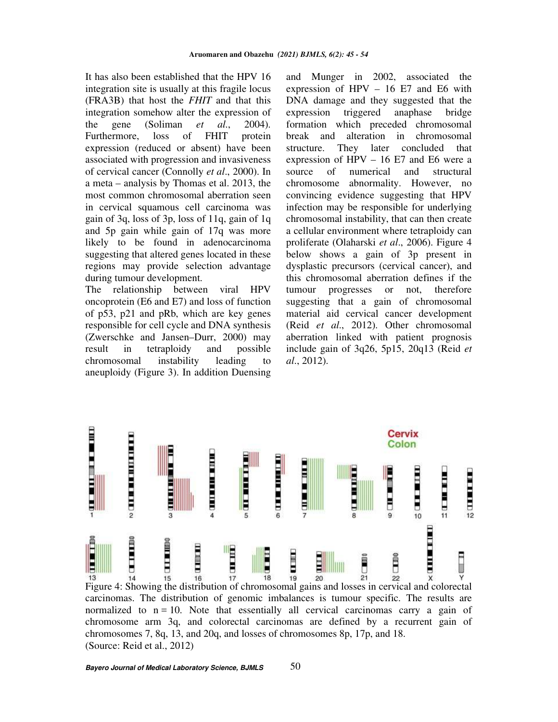It has also been established that the HPV 16 integration site is usually at this fragile locus (FRA3B) that host the *FHIT* and that this integration somehow alter the expression of the gene (Soliman *et al*., 2004). Furthermore, loss of FHIT protein expression (reduced or absent) have been associated with progression and invasiveness of cervical cancer (Connolly *et al*., 2000). In a meta – analysis by Thomas et al. 2013, the most common chromosomal aberration seen in cervical squamous cell carcinoma was gain of 3q, loss of 3p, loss of 11q, gain of 1q and 5p gain while gain of 17q was more likely to be found in adenocarcinoma suggesting that altered genes located in these regions may provide selection advantage during tumour development.

The relationship between viral HPV oncoprotein (E6 and E7) and loss of function of p53, p21 and pRb, which are key genes responsible for cell cycle and DNA synthesis (Zwerschke and Jansen–Durr, 2000) may result in tetraploidy and possible chromosomal instability leading to aneuploidy (Figure 3). In addition Duensing

and Munger in 2002, associated the expression of  $HPV - 16 E7$  and  $E6$  with DNA damage and they suggested that the expression triggered anaphase bridge formation which preceded chromosomal break and alteration in chromosomal structure. They later concluded that expression of HPV – 16 E7 and E6 were a source of numerical and structural chromosome abnormality. However, no convincing evidence suggesting that HPV infection may be responsible for underlying chromosomal instability, that can then create a cellular environment where tetraploidy can proliferate (Olaharski *et al*., 2006). Figure 4 below shows a gain of 3p present in dysplastic precursors (cervical cancer), and this chromosomal aberration defines if the tumour progresses or not, therefore suggesting that a gain of chromosomal material aid cervical cancer development (Reid *et al*., 2012). Other chromosomal aberration linked with patient prognosis include gain of 3q26, 5p15, 20q13 (Reid *et al*., 2012).



(Source: Reid et al., 2012)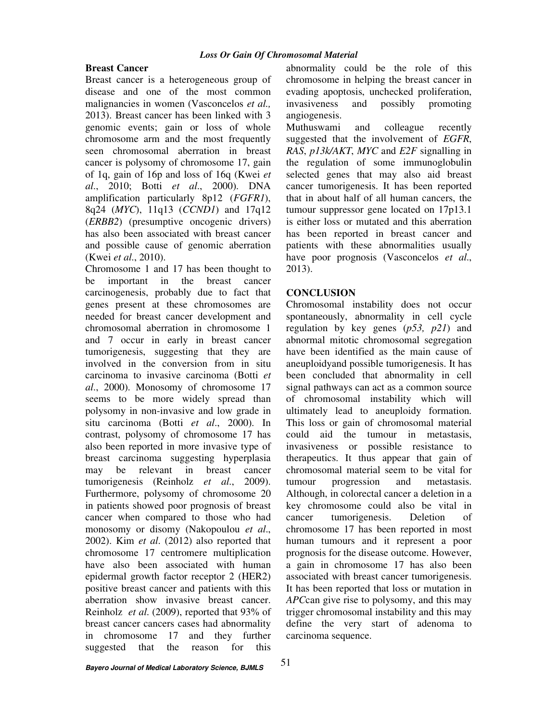## **Breast Cancer**

Breast cancer is a heterogeneous group of disease and one of the most common malignancies in women (Vasconcelos *et al.,* 2013). Breast cancer has been linked with 3 genomic events; gain or loss of whole chromosome arm and the most frequently seen chromosomal aberration in breast cancer is polysomy of chromosome 17, gain of 1q, gain of 16p and loss of 16q (Kwei *et al*., 2010; Botti *et al*., 2000). DNA amplification particularly 8p12 (*FGFR1*), 8q24 (*MYC*), 11q13 (*CCND1*) and 17q12 (*ERBB2*) (presumptive oncogenic drivers) has also been associated with breast cancer and possible cause of genomic aberration (Kwei *et al*., 2010).

Chromosome 1 and 17 has been thought to be important in the breast cancer carcinogenesis, probably due to fact that genes present at these chromosomes are needed for breast cancer development and chromosomal aberration in chromosome 1 and 7 occur in early in breast cancer tumorigenesis, suggesting that they are involved in the conversion from in situ carcinoma to invasive carcinoma (Botti *et al*., 2000). Monosomy of chromosome 17 seems to be more widely spread than polysomy in non-invasive and low grade in situ carcinoma (Botti *et al*., 2000). In contrast, polysomy of chromosome 17 has also been reported in more invasive type of breast carcinoma suggesting hyperplasia may be relevant in breast cancer tumorigenesis (Reinholz *et al*., 2009). Furthermore, polysomy of chromosome 20 in patients showed poor prognosis of breast cancer when compared to those who had monosomy or disomy (Nakopoulou *et al*., 2002). Kim *et al*. (2012) also reported that chromosome 17 centromere multiplication have also been associated with human epidermal growth factor receptor 2 (HER2) positive breast cancer and patients with this aberration show invasive breast cancer. Reinholz *et al*. (2009), reported that 93% of breast cancer cancers cases had abnormality in chromosome 17 and they further suggested that the reason for this

abnormality could be the role of this chromosome in helping the breast cancer in evading apoptosis, unchecked proliferation, invasiveness and possibly promoting angiogenesis.

Muthuswami and colleague recently suggested that the involvement of *EGFR*, *RAS*, *p13k/AKT*, *MYC* and *E2F* signalling in the regulation of some immunoglobulin selected genes that may also aid breast cancer tumorigenesis. It has been reported that in about half of all human cancers, the tumour suppressor gene located on 17p13.1 is either loss or mutated and this aberration has been reported in breast cancer and patients with these abnormalities usually have poor prognosis (Vasconcelos *et al*., 2013).

## **CONCLUSION**

Chromosomal instability does not occur spontaneously, abnormality in cell cycle regulation by key genes (*p53, p21*) and abnormal mitotic chromosomal segregation have been identified as the main cause of aneuploidyand possible tumorigenesis. It has been concluded that abnormality in cell signal pathways can act as a common source of chromosomal instability which will ultimately lead to aneuploidy formation. This loss or gain of chromosomal material could aid the tumour in metastasis, invasiveness or possible resistance to therapeutics. It thus appear that gain of chromosomal material seem to be vital for tumour progression and metastasis. Although, in colorectal cancer a deletion in a key chromosome could also be vital in cancer tumorigenesis. Deletion of chromosome 17 has been reported in most human tumours and it represent a poor prognosis for the disease outcome. However, a gain in chromosome 17 has also been associated with breast cancer tumorigenesis. It has been reported that loss or mutation in *APC*can give rise to polysomy, and this may trigger chromosomal instability and this may define the very start of adenoma to carcinoma sequence.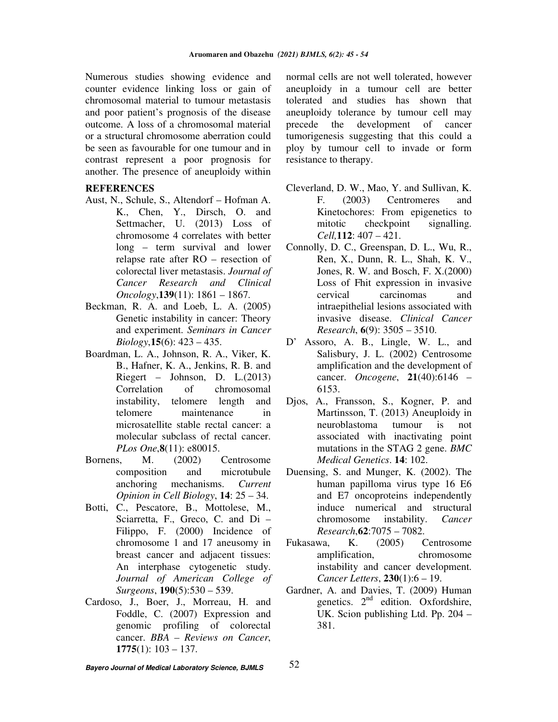Numerous studies showing evidence and counter evidence linking loss or gain of chromosomal material to tumour metastasis and poor patient's prognosis of the disease outcome. A loss of a chromosomal material or a structural chromosome aberration could be seen as favourable for one tumour and in contrast represent a poor prognosis for another. The presence of aneuploidy within

### **REFERENCES**

- Aust, N., Schule, S., Altendorf Hofman A. K., Chen, Y., Dirsch, O. and Settmacher, U. (2013) Loss of chromosome 4 correlates with better long – term survival and lower relapse rate after RO – resection of colorectal liver metastasis. *Journal of Cancer Research and Clinical Oncology*,**139**(11): 1861 – 1867.
- Beckman, R. A. and Loeb, L. A. (2005) Genetic instability in cancer: Theory and experiment. *Seminars in Cancer Biology*,**15**(6): 423 – 435.
- Boardman, L. A., Johnson, R. A., Viker, K. B., Hafner, K. A., Jenkins, R. B. and Riegert – Johnson, D. L.(2013) Correlation of chromosomal instability, telomere length and telomere maintenance in microsatellite stable rectal cancer: a molecular subclass of rectal cancer. *PLos One*,**8**(11): e80015.
- Bornens, M. (2002) Centrosome composition and microtubule anchoring mechanisms. *Current Opinion in Cell Biology*, **14**: 25 – 34.
- Botti, C., Pescatore, B., Mottolese, M., Sciarretta, F., Greco, C. and Di – Filippo, F. (2000) Incidence of chromosome 1 and 17 aneusomy in breast cancer and adjacent tissues: An interphase cytogenetic study. *Journal of American College of Surgeons*, **190**(5):530 – 539.
- Cardoso, J., Boer, J., Morreau, H. and Foddle, C. (2007) Expression and genomic profiling of colorectal cancer. *BBA – Reviews on Cancer*, **1775**(1): 103 – 137.

normal cells are not well tolerated, however aneuploidy in a tumour cell are better tolerated and studies has shown that aneuploidy tolerance by tumour cell may precede the development of cancer tumorigenesis suggesting that this could a ploy by tumour cell to invade or form resistance to therapy.

- Cleverland, D. W., Mao, Y. and Sullivan, K. F. (2003) Centromeres and Kinetochores: From epigenetics to mitotic checkpoint signalling. *Cell,***112**: 407 – 421.
- Connolly, D. C., Greenspan, D. L., Wu, R., Ren, X., Dunn, R. L., Shah, K. V., Jones, R. W. and Bosch, F. X.(2000) Loss of Fhit expression in invasive cervical carcinomas and intraepithelial lesions associated with invasive disease. *Clinical Cancer Research*, **6**(9): 3505 – 3510.
- D' Assoro, A. B., Lingle, W. L., and Salisbury, J. L. (2002) Centrosome amplification and the development of cancer. *Oncogene*, **21**(40):6146 – 6153.
- Djos, A., Fransson, S., Kogner, P. and Martinsson, T. (2013) Aneuploidy in neuroblastoma tumour is not associated with inactivating point mutations in the STAG 2 gene. *BMC Medical Genetics*. **14**: 102.
- Duensing, S. and Munger, K. (2002). The human papilloma virus type 16 E6 and E7 oncoproteins independently induce numerical and structural chromosome instability. *Cancer Research*,**62**:7075 – 7082.
- Fukasawa, K. (2005) Centrosome amplification, chromosome instability and cancer development. *Cancer Letters*, **230**(1):6 – 19.
- Gardner, A. and Davies, T. (2009) Human genetics.  $2<sup>nd</sup>$  edition. Oxfordshire, UK. Scion publishing Ltd. Pp. 204 – 381.

**Bayero Journal of Medical Laboratory Science, BJMLS** 

52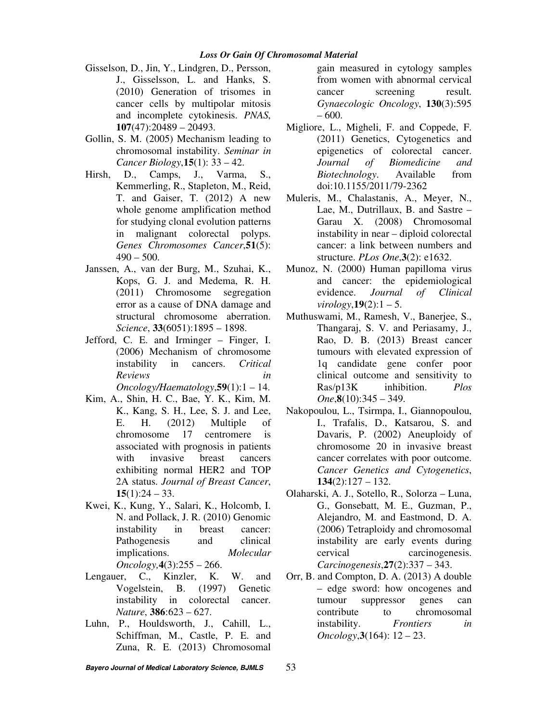### *Loss Or Gain Of Chromosomal Material*

- Gisselson, D., Jin, Y., Lindgren, D., Persson, J., Gisselsson, L. and Hanks, S. (2010) Generation of trisomes in cancer cells by multipolar mitosis and incomplete cytokinesis. *PNAS*, **107**(47):20489 – 20493.
- Gollin, S. M. (2005) Mechanism leading to chromosomal instability. *Seminar in Cancer Biology*,**15**(1): 33 – 42.
- Hirsh, D., Camps, J., Varma, S., Kemmerling, R., Stapleton, M., Reid, T. and Gaiser, T. (2012) A new whole genome amplification method for studying clonal evolution patterns in malignant colorectal polyps. *Genes Chromosomes Cancer*,**51**(5):  $490 - 500$ .
- Janssen, A., van der Burg, M., Szuhai, K., Kops, G. J. and Medema, R. H. (2011) Chromosome segregation error as a cause of DNA damage and structural chromosome aberration. *Science*, **33**(6051):1895 – 1898.
- Jefford, C. E. and Irminger Finger, I. (2006) Mechanism of chromosome instability in cancers. *Critical Reviews in Oncology/Haematology*,**59**(1):1 – 14.
- Kim, A., Shin, H. C., Bae, Y. K., Kim, M. K., Kang, S. H., Lee, S. J. and Lee, E. H. (2012) Multiple of chromosome 17 centromere is associated with prognosis in patients with invasive breast cancers exhibiting normal HER2 and TOP 2A status. *Journal of Breast Cancer*,  $15(1):24 - 33.$
- Kwei, K., Kung, Y., Salari, K., Holcomb, I. N. and Pollack, J. R. (2010) Genomic instability in breast cancer: Pathogenesis and clinical implications. *Molecular Oncology,***4**(3):255 – 266.
- Lengauer, C., Kinzler, K. W. and Vogelstein, B. (1997) Genetic instability in colorectal cancer. *Nature*, **386**:623 – 627.
- Luhn, P., Houldsworth, J., Cahill, L., Schiffman, M., Castle, P. E. and Zuna, R. E. (2013) Chromosomal

gain measured in cytology samples from women with abnormal cervical cancer screening result. *Gynaecologic Oncology*, **130**(3):595 – 600.

- Migliore, L., Migheli, F. and Coppede, F. (2011) Genetics, Cytogenetics and epigenetics of colorectal cancer. *Journal of Biomedicine and Biotechnology*. Available from doi:10.1155/2011/79-2362
- Muleris, M., Chalastanis, A., Meyer, N., Lae, M., Dutrillaux, B. and Sastre – Garau X. (2008) Chromosomal instability in near – diploid colorectal cancer: a link between numbers and structure. *PLos One*,**3**(2): e1632.
- Munoz, N. (2000) Human papilloma virus and cancer: the epidemiological evidence. *Journal of Clinical virology*,  $19(2)$ :  $1 - 5$ .
- Muthuswami, M., Ramesh, V., Banerjee, S., Thangaraj, S. V. and Periasamy, J., Rao, D. B. (2013) Breast cancer tumours with elevated expression of 1q candidate gene confer poor clinical outcome and sensitivity to Ras/p13K inhibition. *Plos One*,**8**(10):345 – 349.
- Nakopoulou, L., Tsirmpa, I., Giannopoulou, I., Trafalis, D., Katsarou, S. and Davaris, P. (2002) Aneuploidy of chromosome 20 in invasive breast cancer correlates with poor outcome. *Cancer Genetics and Cytogenetics*, **134**(2):127 – 132.
- Olaharski, A. J., Sotello, R., Solorza Luna, G., Gonsebatt, M. E., Guzman, P., Alejandro, M. and Eastmond, D. A. (2006) Tetraploidy and chromosomal instability are early events during cervical carcinogenesis. *Carcinogenesis*,**27**(2):337 – 343.
- Orr, B. and Compton, D. A. (2013) A double – edge sword: how oncogenes and tumour suppressor genes can contribute to chromosomal instability. *Frontiers in Oncology*,**3**(164): 12 – 23.

53